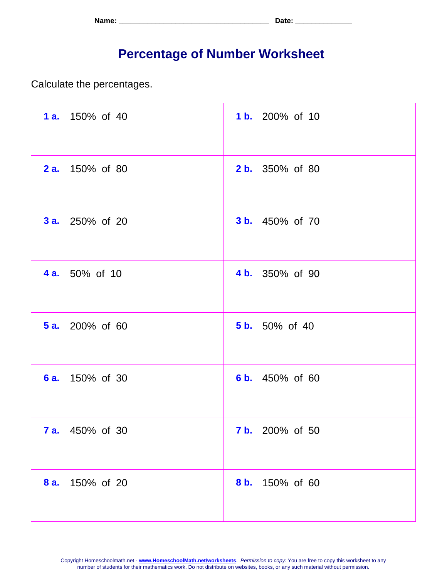| Name: | . ה∔הר<br>. Jalu - |
|-------|--------------------|
|-------|--------------------|

## **Percentage of Number Worksheet**

Calculate the percentages.

| 1 a. 150% of 40        | 1 b. 200% of 10        |
|------------------------|------------------------|
| <b>2 a.</b> 150% of 80 | <b>2 b.</b> 350% of 80 |
| <b>3 a.</b> 250% of 20 | <b>3 b.</b> 450% of 70 |
| <b>4 a.</b> 50% of 10  | 4 b. 350% of 90        |
| <b>5 a.</b> 200% of 60 | <b>5 b.</b> 50% of 40  |
| <b>6 a.</b> 150% of 30 | 6 b. 450% of 60        |
| <b>7 a.</b> 450% of 30 | <b>7 b.</b> 200% of 50 |
| 8 a.<br>150% of 20     | 8 b.<br>150% of 60     |